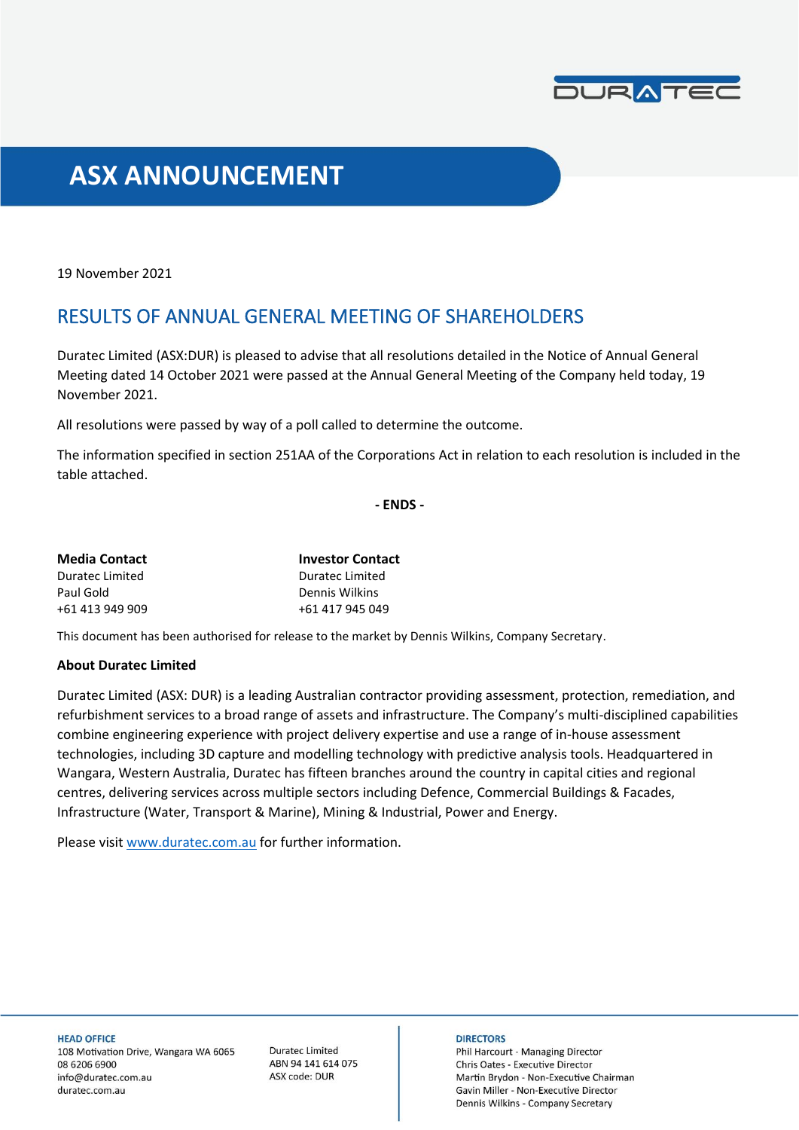

# **ASX ANNOUNCEMENT**

19 November 2021

## RESULTS OF ANNUAL GENERAL MEETING OF SHAREHOLDERS

Duratec Limited (ASX:DUR) is pleased to advise that all resolutions detailed in the Notice of Annual General Meeting dated 14 October 2021 were passed at the Annual General Meeting of the Company held today, 19 November 2021.

All resolutions were passed by way of a poll called to determine the outcome.

The information specified in section 251AA of the Corporations Act in relation to each resolution is included in the table attached.

**- ENDS -**

| <b>Media Contact</b> | <b>Investor Contact</b> |
|----------------------|-------------------------|
| Duratec Limited      | Duratec Limited         |
| Paul Gold            | Dennis Wilkins          |
| +61 413 949 909      | +61 417 945 049         |

This document has been authorised for release to the market by Dennis Wilkins, Company Secretary.

#### **About Duratec Limited**

Duratec Limited (ASX: DUR) is a leading Australian contractor providing assessment, protection, remediation, and refurbishment services to a broad range of assets and infrastructure. The Company's multi-disciplined capabilities combine engineering experience with project delivery expertise and use a range of in-house assessment technologies, including 3D capture and modelling technology with predictive analysis tools. Headquartered in Wangara, Western Australia, Duratec has fifteen branches around the country in capital cities and regional centres, delivering services across multiple sectors including Defence, Commercial Buildings & Facades, Infrastructure (Water, Transport & Marine), Mining & Industrial, Power and Energy.

Please visit [www.duratec.com.au](http://www.duratec.com.au/) for further information.

**HEAD OFFICE** 

108 Motivation Drive, Wangara WA 6065 08 6206 6900 info@duratec.com.au duratec.com.au

**Duratec Limited** ABN 94 141 614 075 ASX code: DUR

#### **DIRECTORS**

Phil Harcourt - Managing Director Chris Oates - Executive Director Martin Brydon - Non-Executive Chairman Gavin Miller - Non-Executive Director Dennis Wilkins - Company Secretary